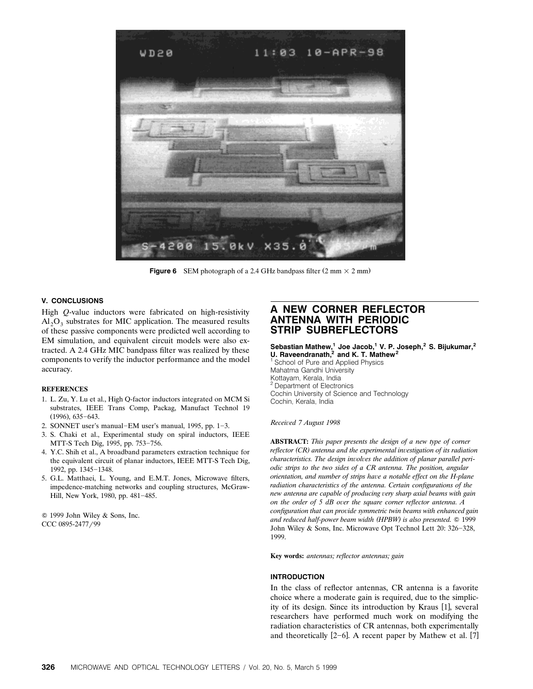

**Figure 6** SEM photograph of a 2.4 GHz bandpass filter  $(2 \text{ mm} \times 2 \text{ mm})$ 

## **V. CONCLUSIONS**

High *Q*-value inductors were fabricated on high-resistivity  $Al_2O_3$  substrates for MIC application. The measured results of these passive components were predicted well according to EM simulation, and equivalent circuit models were also extracted. A 2.4 GHz MIC bandpass filter was realized by these components to verify the inductor performance and the model accuracy.

#### **REFERENCES**

- 1. L. Zu, Y. Lu et al., High Q-factor inductors integrated on MCM Si substrates, IEEE Trans Comp, Packag, Manufact Technol 19  $(1996)$ , 635-643.
- 2. SONNET user's manual-EM user's manual, 1995, pp.  $1-3$ .
- 3. S. Chaki et al., Experimental study on spiral inductors, IEEE MTT-S Tech Dig, 1995, pp. 753-756.
- 4. Y.C. Shih et al., A broadband parameters extraction technique for the equivalent circuit of planar inductors, IEEE MTT-S Tech Dig, 1992, pp. 1345-1348.
- 5. G.L. Matthaei, L. Young, and E.M.T. Jones, Microwave filters, impedence-matching networks and coupling structures, McGraw-Hill, New York, 1980, pp. 481-485.

Q 1999 John Wiley & Sons, Inc. CCC 0895-2477/99

# **A NEW CORNER REFLECTOR ANTENNA WITH PERIODIC STRIP SUBREFLECTORS**

## **Sebastian Mathew,<sup>1</sup> Joe Jacob,<sup>1</sup> V. P. Joseph,<sup>2</sup> S. Bijukumar,<sup>2</sup> U. Raveendranath,2 and K. T. Mathew<sup>2</sup>**

<sup>1</sup> School of Pure and Applied Physics Mahatma Gandhi University Kottayam, Kerala, India Department of Electronics Cochin University of Science and Technology Cochin, Kerala, India

#### *Recei*¨*ed 7 August 1998*

**ABSTRACT:** *This paper presents the design of a new type of corner reflector (CR)* antenna and the experimental investigation of its radiation *characteristics. The design involves the addition of planar parallel periodic strips to the two sides of a CR antenna. The position, angular orientation, and number of strips have a notable effect on the H-plane radiation characteristics of the antenna. Certain configurations of the new antenna are capable of producing very sharp axial beams with gain on the order of 5 dB over the square corner reflector antenna. A configuration that can pro*¨*ide symmetric twin beams with enhanced gain* and reduced half-power beam width (HPBW) is also presented. © 1999 John Wiley & Sons, Inc. Microwave Opt Technol Lett 20: 326-328, 1999.

**Key words:** *antennas; reflector antennas; gain*

#### **INTRODUCTION**

In the class of reflector antennas, CR antenna is a favorite choice where a moderate gain is required, due to the simplicity of its design. Since its introduction by Kraus [1], several researchers have performed much work on modifying the radiation characteristics of CR antennas, both experimentally and theoretically  $[2-6]$ . A recent paper by Mathew et al. [7]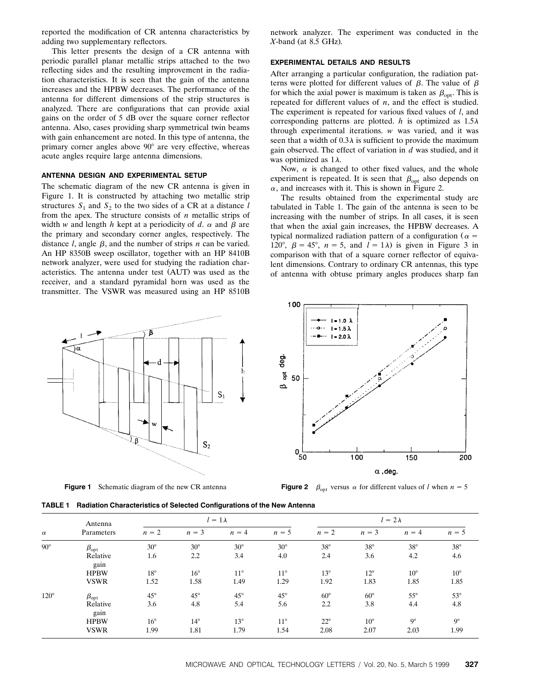reported the modification of CR antenna characteristics by adding two supplementary reflectors.

This letter presents the design of a CR antenna with periodic parallel planar metallic strips attached to the two reflecting sides and the resulting improvement in the radiation characteristics. It is seen that the gain of the antenna increases and the HPBW decreases. The performance of the antenna for different dimensions of the strip structures is analyzed. There are configurations that can provide axial gains on the order of 5 dB over the square corner reflector antenna. Also, cases providing sharp symmetrical twin beams with gain enhancement are noted. In this type of antenna, the primary corner angles above  $90^\circ$  are very effective, whereas acute angles require large antenna dimensions.

# **ANTENNA DESIGN AND EXPERIMENTAL SETUP**

The schematic diagram of the new CR antenna is given in Figure 1. It is constructed by attaching two metallic strip structures  $S_1$  and  $S_2$  to the two sides of a CR at a distance *l* from the apex. The structure consists of *n* metallic strips of width *w* and length *h* kept at a periodicity of *d*.  $\alpha$  and  $\beta$  are the primary and secondary corner angles, respectively. The distance  $l$ , angle  $\beta$ , and the number of strips  $n$  can be varied. An HP 8350B sweep oscillator, together with an HP 8410B network analyzer, were used for studying the radiation characteristics. The antenna under test (AUT) was used as the receiver, and a standard pyramidal horn was used as the transmitter. The VSWR was measured using an HP 8510B

p  $S_1$ ß  $S<sub>2</sub>$ 

**Figure 1** Schematic diagram of the new CR antenna

network analyzer. The experiment was conducted in the  $X$ -band (at  $8.5$  GHz).

### **EXPERIMENTAL DETAILS AND RESULTS**

After arranging a particular configuration, the radiation patterns were plotted for different values of  $\beta$ . The value of  $\beta$ for which the axial power is maximum is taken as  $\beta_{\rm opt}$ . This is repeated for different values of *n*, and the effect is studied. The experiment is repeated for various fixed values of *l*, and corresponding patterns are plotted. *h* is optimized as  $1.5\lambda$ through experimental iterations. *w* was varied, and it was seen that a width of  $0.3\lambda$  is sufficient to provide the maximum gain observed. The effect of variation in *d* was studied, and it was optimized as  $1\lambda$ .

Now,  $\alpha$  is changed to other fixed values, and the whole experiment is repeated. It is seen that  $\beta_{\text{opt}}$  also depends on  $\alpha$ , and increases with it. This is shown in Figure 2.

The results obtained from the experimental study are tabulated in Table 1. The gain of the antenna is seen to be increasing with the number of strips. In all cases, it is seen that when the axial gain increases, the HPBW decreases. A typical normalized radiation pattern of a configuration ( $\alpha$  = 120°,  $\beta = 45$ °,  $n = 5$ , and  $l = 1\lambda$ ) is given in Figure 3 in comparison with that of a square corner reflector of equivalent dimensions. Contrary to ordinary CR antennas, this type of antenna with obtuse primary angles produces sharp fan



**Figure 2**  $\beta_{\text{ont}}$  versus  $\alpha$  for different values of *l* when  $n = 5$ 

| $\alpha$    | Antenna<br>Parameters | $l = 1\lambda$ |              |              |              | $l = 2\lambda$ |              |              |              |
|-------------|-----------------------|----------------|--------------|--------------|--------------|----------------|--------------|--------------|--------------|
|             |                       | $n = 2$        | $n = 3$      | $n = 4$      | $n = 5$      | $n = 2$        | $n = 3$      | $n = 4$      | $n = 5$      |
| $90^\circ$  | $\beta_{\rm opt}$     | $30^\circ$     | $30^\circ$   | $30^\circ$   | $30^\circ$   | $38^\circ$     | $38^\circ$   | $38^\circ$   | $38^\circ$   |
|             | Relative<br>gain      | 1.6            | 2.2          | 3.4          | 4.0          | 2.4            | 3.6          | 4.2          | 4.6          |
|             | <b>HPBW</b>           | $18^{\circ}$   | $16^{\circ}$ | $11^{\circ}$ | $11^{\circ}$ | $13^{\circ}$   | $12^{\circ}$ | $10^{\circ}$ | $10^{\circ}$ |
|             | <b>VSWR</b>           | 1.52           | 1.58         | 1.49         | 1.29         | 1.92           | 1.83         | 1.85         | 1.85         |
| $120^\circ$ | $\beta_{\rm opt}$     | $45^{\circ}$   | $45^{\circ}$ | $45^{\circ}$ | $45^{\circ}$ | $60^\circ$     | $60^\circ$   | $55^{\circ}$ | $53^\circ$   |
|             | Relative<br>gain      | 3.6            | 4.8          | 5.4          | 5.6          | 2.2            | 3.8          | 4.4          | 4.8          |
|             | <b>HPBW</b>           | $16^{\circ}$   | $14^{\circ}$ | $13^\circ$   | $11^{\circ}$ | $22^{\circ}$   | $10^{\circ}$ | $Q^{\circ}$  | $9^\circ$    |
|             | <b>VSWR</b>           | 1.99           | 1.81         | 1.79         | 1.54         | 2.08           | 2.07         | 2.03         | 1.99         |

**TABLE 1 Radiation Characteristics of Selected Configurations of the New Antenna**